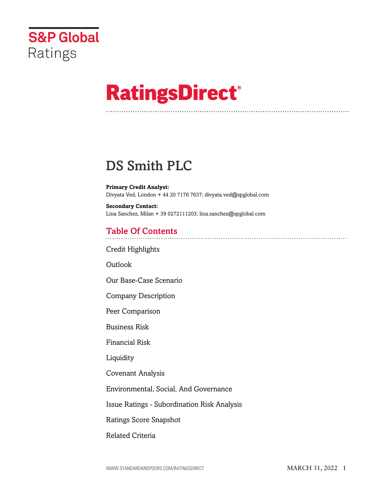

# **RatingsDirect®**

## DS Smith PLC

**Primary Credit Analyst:** Divyata Ved, London + 44 20 7176 7637; divyata.ved@spglobal.com

**Secondary Contact:** Lina Sanchez, Milan + 39 0272111203; lina.sanchez@spglobal.com

## Table Of Contents

[Credit Highlights](#page-1-0)

[Outlook](#page--1-0)

[Our Base-Case Scenario](#page-4-0)

[Company Description](#page-5-0)

[Peer Comparison](#page-7-0)

[Business Risk](#page-8-0)

[Financial Risk](#page-8-1)

[Liquidity](#page-10-0)

[Covenant Analysis](#page-10-1)

[Environmental, Social, And Governance](#page-11-0)

[Issue Ratings - Subordination Risk Analysis](#page-11-1)

[Ratings Score Snapshot](#page-11-2)

[Related Criteria](#page-12-0)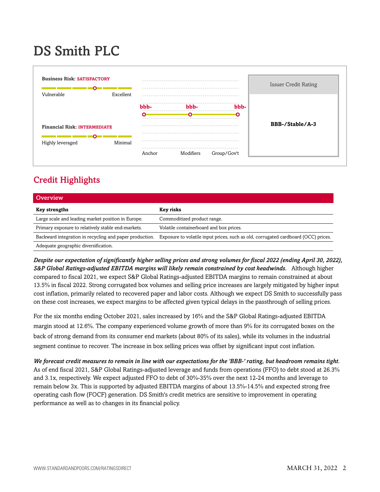## DS Smith PLC



## <span id="page-1-0"></span>Credit Highlights

| Overview <sup>'</sup>                                   |                                                                                    |
|---------------------------------------------------------|------------------------------------------------------------------------------------|
| <b>Key strengths</b>                                    | Key risks                                                                          |
| Large scale and leading market position in Europe.      | Commoditized product range.                                                        |
| Primary exposure to relatively stable end-markets.      | Volatile containerboard and box prices.                                            |
| Backward integration in recycling and paper production. | Exposure to volatile input prices, such as old, corrugated cardboard (OCC) prices. |
| Adequate geographic diversification.                    |                                                                                    |

*Despite our expectation of significantly higher selling prices and strong volumes for fiscal 2022 (ending April 30, 2022), S&P Global Ratings-adjusted EBITDA margins will likely remain constrained by cost headwinds.* Although higher compared to fiscal 2021, we expect S&P Global Ratings-adjusted EBITDA margins to remain constrained at about 13.5% in fiscal 2022. Strong corrugated box volumes and selling price increases are largely mitigated by higher input cost inflation, primarily related to recovered paper and labor costs. Although we expect DS Smith to successfully pass on these cost increases, we expect margins to be affected given typical delays in the passthrough of selling prices.

For the six months ending October 2021, sales increased by 16% and the S&P Global Ratings-adjusted EBITDA margin stood at 12.6%. The company experienced volume growth of more than 9% for its corrugated boxes on the back of strong demand from its consumer end markets (about 80% of its sales), while its volumes in the industrial segment continue to recover. The increase in box selling prices was offset by significant input cost inflation.

*We forecast credit measures to remain in line with our expectations for the 'BBB-' rating, but headroom remains tight.* As of end fiscal 2021, S&P Global Ratings-adjusted leverage and funds from operations (FFO) to debt stood at 26.3% and 3.1x, respectively. We expect adjusted FFO to debt of 30%-35% over the next 12-24 months and leverage to remain below 3x. This is supported by adjusted EBITDA margins of about 13.5%-14.5% and expected strong free operating cash flow (FOCF) generation. DS Smith's credit metrics are sensitive to improvement in operating performance as well as to changes in its financial policy.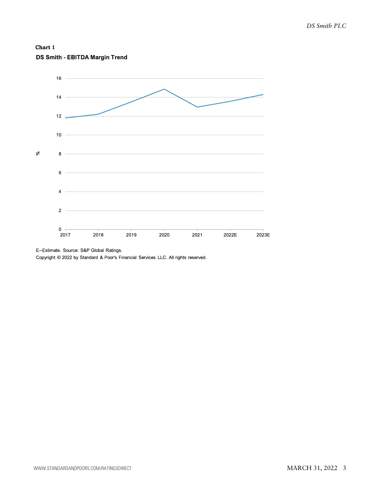



E--Estimate. Source: S&P Global Ratings.

Copyright © 2022 by Standard & Poor's Financial Services LLC. All rights reserved.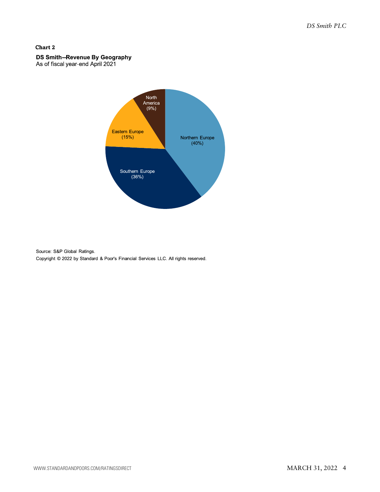#### **Chart 2**

### DS Smith--Revenue By Geography

As of fiscal year-end April 2021



Source: S&P Global Ratings. Copyright © 2022 by Standard & Poor's Financial Services LLC. All rights reserved.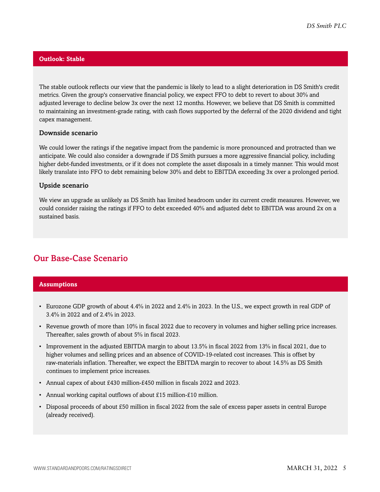#### **Outlook: Stable**

The stable outlook reflects our view that the pandemic is likely to lead to a slight deterioration in DS Smith's credit metrics. Given the group's conservative financial policy, we expect FFO to debt to revert to about 30% and adjusted leverage to decline below 3x over the next 12 months. However, we believe that DS Smith is committed to maintaining an investment-grade rating, with cash flows supported by the deferral of the 2020 dividend and tight capex management.

#### Downside scenario

We could lower the ratings if the negative impact from the pandemic is more pronounced and protracted than we anticipate. We could also consider a downgrade if DS Smith pursues a more aggressive financial policy, including higher debt-funded investments, or if it does not complete the asset disposals in a timely manner. This would most likely translate into FFO to debt remaining below 30% and debt to EBITDA exceeding 3x over a prolonged period.

#### Upside scenario

We view an upgrade as unlikely as DS Smith has limited headroom under its current credit measures. However, we could consider raising the ratings if FFO to debt exceeded 40% and adjusted debt to EBITDA was around 2x on a sustained basis.

## <span id="page-4-0"></span>Our Base-Case Scenario

#### **Assumptions**

- Eurozone GDP growth of about 4.4% in 2022 and 2.4% in 2023. In the U.S., we expect growth in real GDP of 3.4% in 2022 and of 2.4% in 2023.
- Revenue growth of more than 10% in fiscal 2022 due to recovery in volumes and higher selling price increases. Thereafter, sales growth of about 5% in fiscal 2023.
- Improvement in the adjusted EBITDA margin to about 13.5% in fiscal 2022 from 13% in fiscal 2021, due to higher volumes and selling prices and an absence of COVID-19-related cost increases. This is offset by raw-materials inflation. Thereafter, we expect the EBITDA margin to recover to about 14.5% as DS Smith continues to implement price increases.
- Annual capex of about £430 million-£450 million in fiscals 2022 and 2023.
- Annual working capital outflows of about £15 million-£10 million.
- Disposal proceeds of about £50 million in fiscal 2022 from the sale of excess paper assets in central Europe (already received).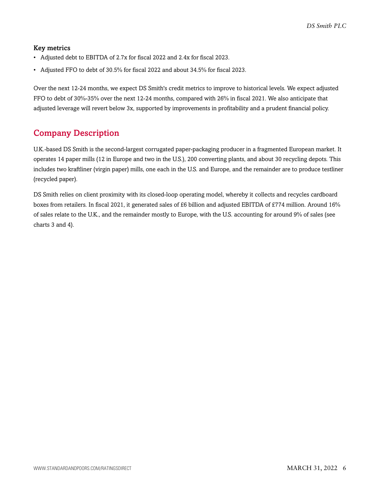#### Key metrics

- Adjusted debt to EBITDA of 2.7x for fiscal 2022 and 2.4x for fiscal 2023.
- Adjusted FFO to debt of 30.5% for fiscal 2022 and about 34.5% for fiscal 2023.

Over the next 12-24 months, we expect DS Smith's credit metrics to improve to historical levels. We expect adjusted FFO to debt of 30%-35% over the next 12-24 months, compared with 26% in fiscal 2021. We also anticipate that adjusted leverage will revert below 3x, supported by improvements in profitability and a prudent financial policy.

## <span id="page-5-0"></span>Company Description

U.K.-based DS Smith is the second-largest corrugated paper-packaging producer in a fragmented European market. It operates 14 paper mills (12 in Europe and two in the U.S.), 200 converting plants, and about 30 recycling depots. This includes two kraftliner (virgin paper) mills, one each in the U.S. and Europe, and the remainder are to produce testliner (recycled paper).

DS Smith relies on client proximity with its closed-loop operating model, whereby it collects and recycles cardboard boxes from retailers. In fiscal 2021, it generated sales of £6 billion and adjusted EBITDA of £774 million. Around 16% of sales relate to the U.K., and the remainder mostly to Europe, with the U.S. accounting for around 9% of sales (see charts 3 and 4).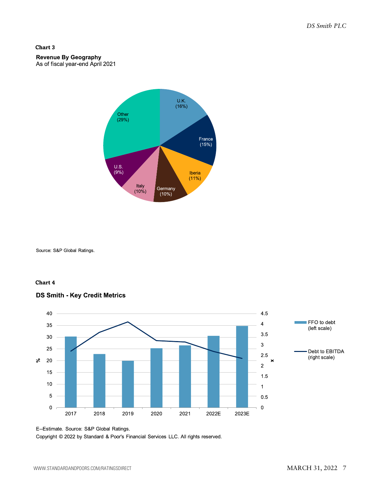#### **Chart 3**

#### **Revenue By Geography** As of fiscal year-end April 2021



Source: S&P Global Ratings.

#### **Chart 4**



#### **DS Smith - Key Credit Metrics**

Copyright @ 2022 by Standard & Poor's Financial Services LLC. All rights reserved.

E--Estimate. Source: S&P Global Ratings.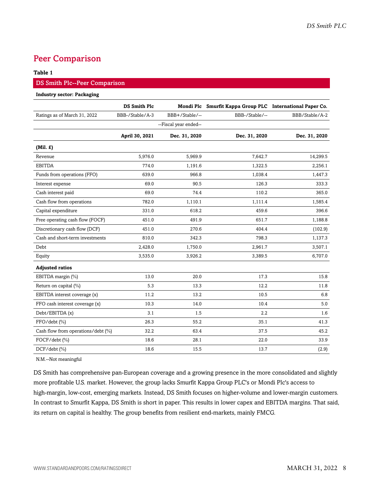## <span id="page-7-0"></span>Peer Comparison

#### **Table 1**

#### DS Smith Plc--Peer Comparison

#### **Industry sector: Packaging**

|                                    | <b>DS Smith Plc</b> |                       | Mondi Plc Smurfit Kappa Group PLC International Paper Co. |                |
|------------------------------------|---------------------|-----------------------|-----------------------------------------------------------|----------------|
| Ratings as of March 31, 2022       | BBB-/Stable/A-3     | BBB+/Stable/--        | BBB-/Stable/--                                            | BBB/Stable/A-2 |
|                                    |                     | --Fiscal year ended-- |                                                           |                |
|                                    | April 30, 2021      | Dec. 31, 2020         | Dec. 31, 2020                                             | Dec. 31, 2020  |
| (Mil. f)                           |                     |                       |                                                           |                |
| Revenue                            | 5,976.0             | 5,969.9               | 7,642.7                                                   | 14,299.5       |
| <b>EBITDA</b>                      | 774.0               | 1,191.6               | 1,322.5                                                   | 2,256.1        |
| Funds from operations (FFO)        | 639.0               | 966.8                 | 1,038.4                                                   | 1,447.3        |
| Interest expense                   | 69.0                | 90.5                  | 126.3                                                     | 333.3          |
| Cash interest paid                 | 69.0                | 74.4                  | 110.2                                                     | 365.0          |
| Cash flow from operations          | 782.0               | 1,110.1               | 1,111.4                                                   | 1,585.4        |
| Capital expenditure                | 331.0               | 618.2                 | 459.6                                                     | 396.6          |
| Free operating cash flow (FOCF)    | 451.0               | 491.9                 | 651.7                                                     | 1,188.8        |
| Discretionary cash flow (DCF)      | 451.0               | 270.6                 | 404.4                                                     | (102.9)        |
| Cash and short-term investments    | 810.0               | 342.3                 | 798.3                                                     | 1,137.3        |
| Debt                               | 2,428.0             | 1,750.0               | 2,961.7                                                   | 3,507.1        |
| Equity                             | 3,535.0             | 3,926.2               | 3,389.5                                                   | 6,707.0        |
| <b>Adjusted ratios</b>             |                     |                       |                                                           |                |
| EBITDA margin (%)                  | 13.0                | 20.0                  | 17.3                                                      | 15.8           |
| Return on capital (%)              | 5.3                 | 13.3                  | 12.2                                                      | 11.8           |
| EBITDA interest coverage (x)       | 11.2                | 13.2                  | 10.5                                                      | 6.8            |
| FFO cash interest coverage (x)     | 10.3                | 14.0                  | 10.4                                                      | 5.0            |
| Debt/EBITDA (x)                    | 3.1                 | 1.5                   | 2.2                                                       | 1.6            |
| FFO/debt (%)                       | 26.3                | 55.2                  | 35.1                                                      | 41.3           |
| Cash flow from operations/debt (%) | 32.2                | 63.4                  | 37.5                                                      | 45.2           |
| FOCF/debt (%)                      | 18.6                | 28.1                  | 22.0                                                      | 33.9           |
| $DCF/debt$ (%)                     | 18.6                | 15.5                  | 13.7                                                      | (2.9)          |

N.M.--Not meaningful

DS Smith has comprehensive pan-European coverage and a growing presence in the more consolidated and slightly more profitable U.S. market. However, the group lacks Smurfit Kappa Group PLC's or Mondi Plc's access to high-margin, low-cost, emerging markets. Instead, DS Smith focuses on higher-volume and lower-margin customers. In contrast to Smurfit Kappa, DS Smith is short in paper. This results in lower capex and EBITDA margins. That said, its return on capital is healthy. The group benefits from resilient end-markets, mainly FMCG.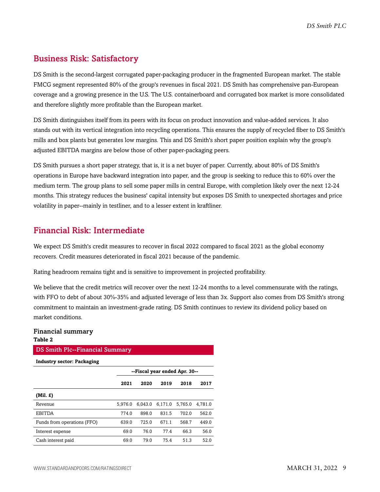## <span id="page-8-0"></span>Business Risk: Satisfactory

DS Smith is the second-largest corrugated paper-packaging producer in the fragmented European market. The stable FMCG segment represented 80% of the group's revenues in fiscal 2021. DS Smith has comprehensive pan-European coverage and a growing presence in the U.S. The U.S. containerboard and corrugated box market is more consolidated and therefore slightly more profitable than the European market.

DS Smith distinguishes itself from its peers with its focus on product innovation and value-added services. It also stands out with its vertical integration into recycling operations. This ensures the supply of recycled fiber to DS Smith's mills and box plants but generates low margins. This and DS Smith's short paper position explain why the group's adjusted EBITDA margins are below those of other paper-packaging peers.

DS Smith pursues a short paper strategy, that is, it is a net buyer of paper. Currently, about 80% of DS Smith's operations in Europe have backward integration into paper, and the group is seeking to reduce this to 60% over the medium term. The group plans to sell some paper mills in central Europe, with completion likely over the next 12-24 months. This strategy reduces the business' capital intensity but exposes DS Smith to unexpected shortages and price volatility in paper--mainly in testliner, and to a lesser extent in kraftliner.

## <span id="page-8-1"></span>Financial Risk: Intermediate

We expect DS Smith's credit measures to recover in fiscal 2022 compared to fiscal 2021 as the global economy recovers. Credit measures deteriorated in fiscal 2021 because of the pandemic.

Rating headroom remains tight and is sensitive to improvement in projected profitability.

We believe that the credit metrics will recover over the next 12-24 months to a level commensurate with the ratings, with FFO to debt of about 30%-35% and adjusted leverage of less than 3x. Support also comes from DS Smith's strong commitment to maintain an investment-grade rating. DS Smith continues to review its dividend policy based on market conditions.

#### Financial summary **Table 2**

#### DS Smith Plc--Financial Summary

**Industry sector: Packaging**

|                             | --Fiscal year ended Apr. 30-- |         |         |         |         |  |  |  |
|-----------------------------|-------------------------------|---------|---------|---------|---------|--|--|--|
|                             | 2021                          | 2020    | 2019    | 2018    | 2017    |  |  |  |
| $(Mil. \tE)$                |                               |         |         |         |         |  |  |  |
| Revenue                     | 5.976.0                       | 6.043.0 | 6.171.0 | 5.765.0 | 4.781.0 |  |  |  |
| <b>EBITDA</b>               | 774.0                         | 898.0   | 831.5   | 702.0   | 562.0   |  |  |  |
| Funds from operations (FFO) | 639.0                         | 725.0   | 671.1   | 568.7   | 449.0   |  |  |  |
| Interest expense            | 69.0                          | 76.0    | 77.4    | 66.3    | 56.0    |  |  |  |
| Cash interest paid          | 69.0                          | 79.0    | 75.4    | 51.3    | 52.0    |  |  |  |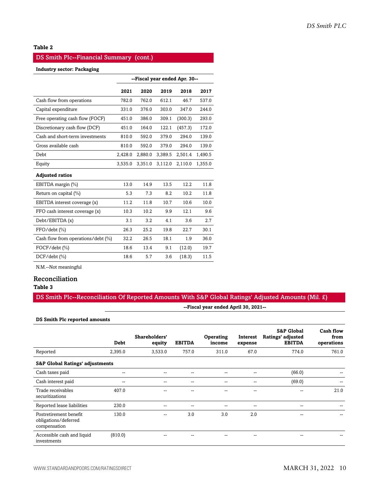#### **Table 2**

#### DS Smith Plc--Financial Summary (cont.)

#### **Industry sector: Packaging**

|                                    | --Fiscal year ended Apr. 30-- |         |         |         |         |  |  |
|------------------------------------|-------------------------------|---------|---------|---------|---------|--|--|
|                                    | 2021                          | 2020    | 2019    | 2018    | 2017    |  |  |
| Cash flow from operations          | 782.0                         | 762.0   | 612.1   | 46.7    | 537.0   |  |  |
| Capital expenditure                | 331.0                         | 376.0   | 303.0   | 347.0   | 244.0   |  |  |
| Free operating cash flow (FOCF)    | 451.0                         | 386.0   | 309.1   | (300.3) | 293.0   |  |  |
| Discretionary cash flow (DCF)      | 451.0                         | 164.0   | 122.1   | (457.3) | 172.0   |  |  |
| Cash and short-term investments    | 810.0                         | 592.0   | 379.0   | 294.0   | 139.0   |  |  |
| Gross available cash               | 810.0                         | 592.0   | 379.0   | 294.0   | 139.0   |  |  |
| Debt                               | 2,428.0                       | 2,880.0 | 3,389.5 | 2,501.4 | 1,490.5 |  |  |
| Equity                             | 3,535.0                       | 3,351.0 | 3,112.0 | 2,110.0 | 1,355.0 |  |  |
| <b>Adjusted ratios</b>             |                               |         |         |         |         |  |  |
| EBITDA margin (%)                  | 13.0                          | 14.9    | 13.5    | 12.2    | 11.8    |  |  |
| Return on capital (%)              | 5.3                           | 7.3     | 8.2     | 10.2    | 11.8    |  |  |
| EBITDA interest coverage (x)       | 11.2                          | 11.8    | 10.7    | 10.6    | 10.0    |  |  |
| FFO cash interest coverage (x)     | 10.3                          | 10.2    | 9.9     | 12.1    | 9.6     |  |  |
| Debt/EBITDA (x)                    | 3.1                           | 3.2     | 4.1     | 3.6     | 2.7     |  |  |
| FFO/debt (%)                       | 26.3                          | 25.2    | 19.8    | 22.7    | 30.1    |  |  |
| Cash flow from operations/debt (%) | 32.2                          | 26.5    | 18.1    | 1.9     | 36.0    |  |  |
| $FOCF/debt$ $(\% )$                | 18.6                          | 13.4    | 9.1     | (12.0)  | 19.7    |  |  |
| DCF/debt (%)                       | 18.6                          | 5.7     | 3.6     | (18.3)  | 11.5    |  |  |

N.M.--Not meaningful

#### Reconciliation

#### **Table 3**

#### DS Smith Plc--Reconciliation Of Reported Amounts With S&P Global Ratings' Adjusted Amounts (Mil. £)

**--Fiscal year ended April 30, 2021--**

#### **DS Smith Plc reported amounts**

|                                                                | Debt    | Shareholders'<br>equity  | <b>EBITDA</b> | <b>Operating</b><br>income | Interest<br>expense | <b>S&amp;P Global</b><br>Ratings' adjusted<br><b>EBITDA</b> | Cash flow<br>from<br>operations |
|----------------------------------------------------------------|---------|--------------------------|---------------|----------------------------|---------------------|-------------------------------------------------------------|---------------------------------|
| Reported                                                       | 2,395.0 | 3,533.0                  | 757.0         | 311.0                      | 67.0                | 774.0                                                       | 761.0                           |
| <b>S&amp;P Global Ratings' adjustments</b>                     |         |                          |               |                            |                     |                                                             |                                 |
| Cash taxes paid                                                | --      | --                       |               | --                         | --                  | (66.0)                                                      |                                 |
| Cash interest paid                                             | --      | --                       |               | $- -$                      | $-$                 | (69.0)                                                      | --                              |
| Trade receivables<br>securitizations                           | 407.0   | --                       | --            | $- -$                      | $-$                 | --                                                          | 21.0                            |
| Reported lease liabilities                                     | 230.0   | $\overline{\phantom{a}}$ | $- -$         | $- -$                      | $-$                 | --                                                          |                                 |
| Postretirement benefit<br>obligations/deferred<br>compensation | 130.0   | --                       | 3.0           | 3.0                        | 2.0                 | --                                                          |                                 |
| Accessible cash and liquid<br>investments                      | (810.0) | --                       |               | --                         | --                  | --                                                          |                                 |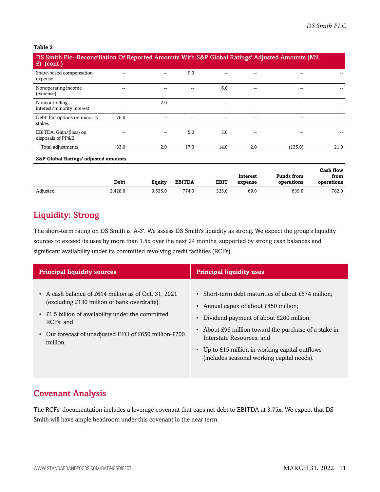#### **Table 3**

| DS Smith Plc--Reconciliation Of Reported Amounts With S&P Global Ratings' Adjusted Amounts (Mil.<br><b>A</b><br>(cont.) |      |     |      |      |     |         |      |
|-------------------------------------------------------------------------------------------------------------------------|------|-----|------|------|-----|---------|------|
| Share-based compensation<br>expense                                                                                     | --   | $-$ | 9.0  |      |     |         |      |
| Nonoperating income<br>(expense)                                                                                        | --   | --  |      | 6.0  | --  | --      |      |
| Noncontrolling<br>interest/minority interest                                                                            |      | 2.0 |      |      |     |         |      |
| Debt: Put options on minority<br>stakes                                                                                 | 76.0 |     |      |      |     | --      |      |
| EBITDA: Gain/(loss) on<br>disposals of PP&E                                                                             | --   |     | 5.0  | 5.0  |     | --      |      |
| Total adjustments                                                                                                       | 33.0 | 2.0 | 17.0 | 14.0 | 2.0 | (135.0) | 21.0 |
| <b>S&amp;P Global Ratings' adjusted amounts</b>                                                                         |      |     |      |      |     |         |      |

|          |             |         |               |             | <b>Interest</b> | <b>Funds from</b> | Cash flow<br>from |
|----------|-------------|---------|---------------|-------------|-----------------|-------------------|-------------------|
|          | <b>Debt</b> | Equity  | <b>EBITDA</b> | <b>EBIT</b> | expense         | operations        | operations        |
| Adjusted | 2.428.0     | 3.535.0 | 774.0         | 325.0       | 69.0            | 639.0             | 782.0             |

## <span id="page-10-0"></span>Liquidity: Strong

The short-term rating on DS Smith is 'A-3'. We assess DS Smith's liquidity as strong. We expect the group's liquidity sources to exceed its uses by more than 1.5x over the next 24 months, supported by strong cash balances and significant availability under its committed revolving credit facilities (RCFs).

| <b>Principal liquidity sources</b>                                                                                                                                                                                                                        | <b>Principal liquidity uses</b>                                                                                                                                                                                                                                                                                                |
|-----------------------------------------------------------------------------------------------------------------------------------------------------------------------------------------------------------------------------------------------------------|--------------------------------------------------------------------------------------------------------------------------------------------------------------------------------------------------------------------------------------------------------------------------------------------------------------------------------|
| • A cash balance of £614 million as of Oct. 31, 2021<br>(excluding £130 million of bank overdrafts);<br>• £1.5 billion of availability under the committed<br>RCF <sub>s</sub> ; and<br>• Our forecast of unadjusted FFO of £650 million-£700<br>million. | • Short-term debt maturities of about £674 million;<br>• Annual capex of about £450 million;<br>Dividend payment of about £200 million;<br>• About £96 million toward the purchase of a stake in<br>Interstate Resources; and<br>• Up to £15 million in working capital outflows<br>(includes seasonal working capital needs). |

## <span id="page-10-1"></span>Covenant Analysis

The RCFs' documentation includes a leverage covenant that caps net debt to EBITDA at 3.75x. We expect that DS Smith will have ample headroom under this covenant in the near term.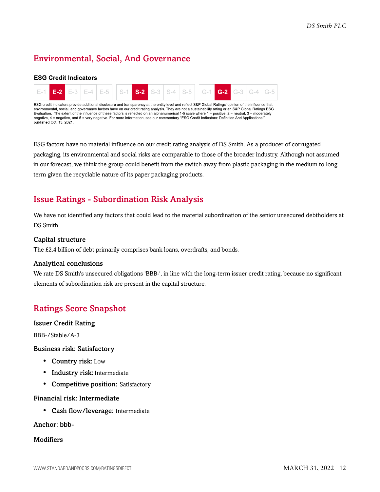## <span id="page-11-0"></span>Environmental, Social, And Governance

#### **ESG Credit Indicators**



ESG factors have no material influence on our credit rating analysis of DS Smith. As a producer of corrugated packaging, its environmental and social risks are comparable to those of the broader industry. Although not assumed in our forecast, we think the group could benefit from the switch away from plastic packaging in the medium to long term given the recyclable nature of its paper packaging products.

## <span id="page-11-1"></span>Issue Ratings - Subordination Risk Analysis

We have not identified any factors that could lead to the material subordination of the senior unsecured debtholders at DS Smith.

#### Capital structure

The £2.4 billion of debt primarily comprises bank loans, overdrafts, and bonds.

#### Analytical conclusions

We rate DS Smith's unsecured obligations 'BBB-', in line with the long-term issuer credit rating, because no significant elements of subordination risk are present in the capital structure.

## <span id="page-11-2"></span>Ratings Score Snapshot

#### Issuer Credit Rating

BBB-/Stable/A-3

#### Business risk: Satisfactory

- Country risk: Low
- Industry risk: Intermediate
- Competitive position: Satisfactory

#### Financial risk: Intermediate

• Cash flow/leverage: Intermediate

Anchor: bbb-

#### **Modifiers**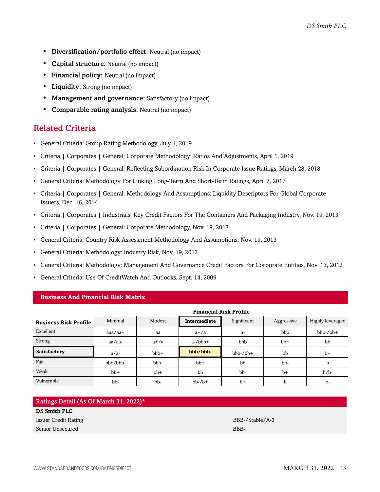- Diversification/portfolio effect: Neutral (no impact)
- **Capital structure:** Neutral (no impact)
- Financial policy: Neutral (no impact)
- **Liquidity:** Strong (no impact)
- Management and governance: Satisfactory (no impact)
- Comparable rating analysis: Neutral (no impact)

## <span id="page-12-0"></span>Related Criteria

- General Criteria: Group Rating Methodology, July 1, 2019
- Criteria | Corporates | General: Corporate Methodology: Ratios And Adjustments, April 1, 2019
- Criteria | Corporates | General: Reflecting Subordination Risk In Corporate Issue Ratings, March 28, 2018
- General Criteria: Methodology For Linking Long-Term And Short-Term Ratings, April 7, 2017
- Criteria | Corporates | General: Methodology And Assumptions: Liquidity Descriptors For Global Corporate Issuers, Dec. 16, 2014
- Criteria | Corporates | Industrials: Key Credit Factors For The Containers And Packaging Industry, Nov. 19, 2013
- Criteria | Corporates | General: Corporate Methodology, Nov. 19, 2013
- General Criteria: Country Risk Assessment Methodology And Assumptions, Nov. 19, 2013
- General Criteria: Methodology: Industry Risk, Nov. 19, 2013
- General Criteria: Methodology: Management And Governance Credit Factors For Corporate Entities, Nov. 13, 2012
- General Criteria: Use Of CreditWatch And Outlooks, Sept. 14, 2009

| s adalludd laila i miamilyiai ianus i'iail mi |                               |        |              |             |            |                  |  |  |
|-----------------------------------------------|-------------------------------|--------|--------------|-------------|------------|------------------|--|--|
|                                               | <b>Financial Risk Profile</b> |        |              |             |            |                  |  |  |
| <b>Business Risk Profile</b>                  | Minimal                       | Modest | Intermediate | Significant | Aggressive | Highly leveraged |  |  |
| Excellent                                     | $a$ aa $/a$ a $+$             | aa     | $a+/a$       | a-          | bbb        | $bbb-/bb+$       |  |  |
| Strong                                        | aa/aa-                        | $a+/a$ | $a$ -/bbb+   | bbb         | $bb+$      | bb               |  |  |
| Satisfactory                                  | $a/a-$                        | $bbb+$ | bbb/bbb-     | bbb-/bb+    | bb         | $b+$             |  |  |
| Fair                                          | bbb/bbb-                      | bbb-   | $bb+$        | bb          | bb-        | b                |  |  |
| Weak                                          | $bb+$                         | $bb+$  | bb           | bb-         | $b+$       | $b/b$ -          |  |  |
| Vulnerable                                    | bb-                           | bb-    | $bb-/b+$     | $b+$        | b          | $b-$             |  |  |

**Business And Financial Risk Matrix**

**DS Smith PLC**

Senior Unsecured BBB-

Issuer Credit Rating BBB-/Stable/A-3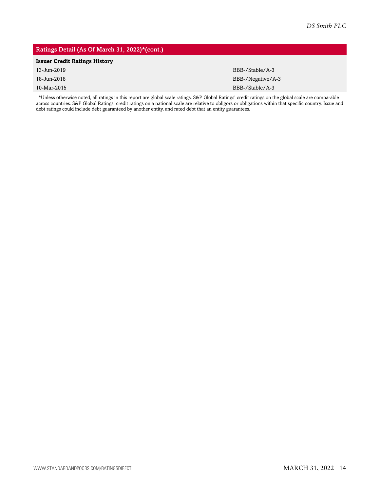#### Ratings Detail (As Of March 31, 2022)\*(cont.)

#### **Issuer Credit Ratings History**

| 13-Jun-2019 | BBB-/Stable/A-3   |
|-------------|-------------------|
| 18-Jun-2018 | BBB-/Negative/A-3 |
| 10-Mar-2015 | BBB-/Stable/A-3   |

\*Unless otherwise noted, all ratings in this report are global scale ratings. S&P Global Ratings' credit ratings on the global scale are comparable across countries. S&P Global Ratings' credit ratings on a national scale are relative to obligors or obligations within that specific country. Issue and debt ratings could include debt guaranteed by another entity, and rated debt that an entity guarantees.